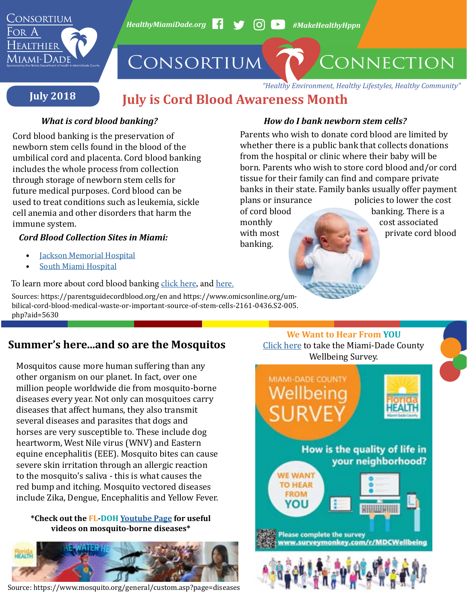

# **July is Cord Blood Awareness Month**

banking.

Cord blood banking is the preservation of newborn stem cells found in the blood of the umbilical cord and placenta. Cord blood banking includes the whole process from collection through storage of newborn stem cells for future medical purposes. Cord blood can be used to treat conditions such as leukemia, sickle cell anemia and other disorders that harm the immune system.

## *Cord Blood Collection Sites in Miami:*

- **[Jackson Memorial Hospital](http://www.jacksonhealth.org/)**
- [South Miami Hospital](https://baptisthealth.net/en/facilities/south-miami-hospital/pages/default.aspx)

To learn more about cord blood banking [click here](https://parentsguidecordblood.org/en
), and [here](https://www.omicsonline.org/umbilical-cord-blood-medical-waste-or-important-source-of-stem-cells-2161-0436.S2-005.php?aid=5630).

Sources: https://parentsguidecordblood.org/en and https://www.omicsonline.org/umbilical-cord-blood-medical-waste-or-important-source-of-stem-cells-2161-0436.S2-005. php?aid=5630

## **[Summer's here...and so are the Mosquitos](https://www.surveymonkey.com/r/mdcwellbeing)**

Mosquitos cause more human suffering than any other organism on our planet. In fact, over one million people worldwide die from mosquito-borne diseases every year. Not only can mosquitoes carry diseases that affect humans, they also transmit several diseases and parasites that dogs and horses are very susceptible to. These include dog heartworm, West Nile virus (WNV) and Eastern equine encephalitis (EEE). Mosquito bites can cause severe skin irritation through an allergic reaction to the mosquito's saliva - this is what causes the red bump and itching. Mosquito vectored diseases include Zika, Dengue, Encephalitis and Yellow Fever.

#### **\*Check out the FL-DOH [Youtube Page](https://www.youtube.com/user/fldoh) for useful videos on mosquito-borne diseases\***



Source: https://www.mosquito.org/general/custom.asp?page=diseases

### *What is cord blood banking? How do I bank newborn stem cells?*

Parents who wish to donate cord blood are limited by whether there is a public bank that collects donations from the hospital or clinic where their baby will be born. Parents who wish to store cord blood and/or cord tissue for their family can find and compare private banks in their state. Family banks usually offer payment plans or insurance policies to lower the cost<br>of cord blood banking. There is a of cord blood banking. There is a monthly cost associated monthly cost associated<br>with most extra structure ord b private cord blood

> **We Want to Hear From YOU** [Click here](https://www.surveymonkey.com/r/mdcwellbeing) to take the Miami-Dade County [Wellbeing Survey.](https://www.surveymonkey.com/r/mdcwellbeing)